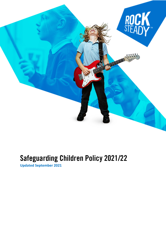

# Safeguarding Children Policy 2021/22

**Updated September 2021**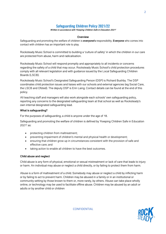# Safeguarding Children Policy 2021/22

**Written in accordance with 'Keeping Children Safe in Education 2021'**

#### **Overview**

Safeguarding and promoting the welfare of children is **everyone's** responsibility. **Everyone** who comes into contact with children has an important role to play.

Rocksteady Music School is committed to building a 'culture of safety' in which the children in our care are protected from abuse, harm and radicalisation.

Rocksteady Music School will respond promptly and appropriately to all incidents or concerns regarding the safety of a child that may occur. Rocksteady Music School's child protection procedures comply with all relevant legislation and with guidance issued by the Local Safeguarding Children Boards (LSCB).

Rocksteady Music School's Designated Safeguarding Person (DSP) is Richard Bushby. The DSP coordinates child protection issues and liaises with our schools and external agencies (eg Social Care, the LSCB and Ofsted). The deputy DSP is Erin Laing. Contact details can be found at the end of this policy.

All teaching staff and managers will also work alongside each schools' own safeguarding policy, reporting any concerns to the designated safeguarding team at that school as well as Rocksteady's own internal designated safeguarding lead.

#### **What is safeguarding?**

For the purposes of safeguarding, a child is anyone under the age of 18.

Safeguarding and promoting the welfare of children is defined by 'Keeping Children Safe in Education 2021' as:

- protecting children from maltreatment;
- preventing impairment of children's mental and physical health or development;
- ensuring that children grow up in circumstances consistent with the provision of safe and effective care; and
- taking action to enable all children to have the best outcomes.

#### **Child abuse and neglect**

Child abuse is any form of physical, emotional or sexual mistreatment or lack of care that leads to injury or harm. An individual may abuse or neglect a child directly, or by failing to protect them from harm.

Abuse is a form of maltreatment of a child. Somebody may abuse or neglect a child by inflicting harm or by failing to act to prevent harm. Children may be abused in a family or in an institutional or community setting by those known to them or, more rarely, by others. Abuse can take place wholly online, or technology may be used to facilitate offline abuse. Children may be abused by an adult or adults or by another child or children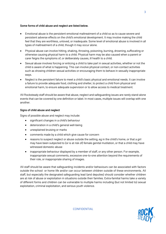#### **Some forms of child abuse and neglect are listed below.**

- Emotional abuse is the persistent emotional maltreatment of a child so as to cause severe and persistent adverse effects on the child's emotional development. It may involve making the child feel that they are worthless, unloved, or inadequate. Some level of emotional abuse is involved in all types of maltreatment of a child, though it may occur alone.
- Physical abuse can involve hitting, shaking, throwing, poisoning, burning, drowning, suffocating or otherwise causing physical harm to a child. Physical harm may be also caused when a parent or carer feigns the symptoms of, or deliberately causes, ill health to a child.
- Sexual abuse involves forcing or enticing a child to take part in sexual activities, whether or not the child is aware of what is happening. This can involve physical contact, or non-contact activities such as showing children sexual activities or encouraging them to behave in sexually inappropriate ways.
- Neglect is the persistent failure to meet a child's basic physical and emotional needs. It can involve a failure to provide adequate food, clothing and shelter, to protect a child from physical and emotional harm, to ensure adequate supervision or to allow access to medical treatment.

All Rocksteady staff should be aware that abuse, neglect and safeguarding issues are rarely stand-alone events that can be covered by one definition or label. In most cases, multiple issues will overlap with one another.

#### **Signs of child abuse and neglect**

Signs of possible abuse and neglect may include:

- significant changes in a child's behaviour
- deterioration in a child's general well-being
- unexplained bruising or marks
- comments made by a child which give cause for concern
- reasons to suspect neglect or abuse outside the setting, eg in the child's home, or that a girl may have been subjected to (or is at risk of) female genital mutilation, or that a child may have witnessed domestic abuse
- inappropriate behaviour displayed by a member of staff, or any other person. For example, inappropriate sexual comments, excessive one-to-one attention beyond the requirements of their role, or inappropriate sharing of images.

All staff should be aware that safeguarding incidents and/or behaviours can be associated with factors outside the school or home life and/or can occur between children outside of these environments. All staff, but especially the designated safeguarding lead (and deputies) should consider whether children are at risk of abuse or exploitation in situations outside their families. Extra-familial harms take a variety of different forms and children can be vulnerable to multiple harms including (but not limited to) sexual exploitation, criminal exploitation, and serious youth violence.

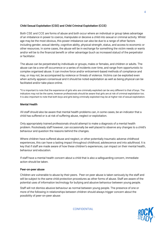## **Child Sexual Exploitation (CSE) and Child Criminal Exploitation (CCE)**

Both CSE and CCE are forms of abuse and both occur where an individual or group takes advantage of an imbalance in power to coerce, manipulate or deceive a child into sexual or criminal activity. Whilst age may be the most obvious, this power imbalance can also be due to a range of other factors including gender, sexual identity, cognitive ability, physical strength, status, and access to economic or other resources. In some cases, the abuse will be in exchange for something the victim needs or wants and/or will be to the financial benefit or other advantage (such as increased status) of the perpetrator or facilitator.

The abuse can be perpetrated by individuals or groups, males or females, and children or adults. The abuse can be a one-off occurrence or a series of incidents over time, and range from opportunistic to complex organised abuse. It can involve force and/or enticement-based methods of compliance and may, or may not, be accompanied by violence or threats of violence. Victims can be exploited even when activity appears consensual and it should be noted exploitation as well as being physical can be facilitated and/or take place online.

\*It is important to note that the experience of girls who are criminally exploited can be very different to that of boys. The indicators may not be the same, however professionals should be aware that girls are at risk of criminal exploitation too. It is also important to note that both boys and girls being criminally exploited may be at higher risk of sexual exploitation.

#### **Mental Health**

All staff should also be aware that mental health problems can, in some cases, be an indicator that a child has suffered or is at risk of suffering abuse, neglect or exploitation.

Only appropriately trained professionals should attempt to make a diagnosis of a mental health problem. Rocksteady staff however, can occasionally be well placed to observe any changes to a child's behaviour and question the reasons behind the changes.

Where children have suffered abuse and neglect, or other potentially traumatic adverse childhood experiences, this can have a lasting impact throughout childhood, adolescence and into adulthood. It is key that if staff are made aware of how these children's experiences, can impact on their mental health, behaviour and education.

If staff have a mental health concern about a child that is also a safeguarding concern, immediate action should be taken.

#### **Peer-on-peer abuse**

Children are vulnerable to abuse by their peers. Peer-on peer abuse is taken seriously by the staff and will be subject to the same child protection procedures as other forms of abuse. Staff are aware of the potential uses of information technology for bullying and abusive behaviour between young people.

Staff will not dismiss abusive behaviour as normal between young people. The presence of one or more of the following in relationships between children should always trigger concern about the possibility of peer-on-peer abuse:

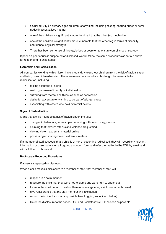- sexual activity (in primary-aged children) of any kind, including sexting, sharing nudes or semi nudes in a sexualised manner
- one of the children is significantly more dominant that the other (eg much older)
- one of the children is significantly more vulnerable that the other (eg in terms of disability, confidence, physical strength
- There has been some use of threats, bribes or coercion to ensure compliancy or secrecy

If peer-on-peer abuse is suspected or disclosed, we will follow the same procedures as set out above for responding to child abuse.

# **Extremism and Radicalisation**

All companies working with children have a legal duty to protect children from the risk of radicalisation and being drawn into extremism. There are many reasons why a child might be vulnerable to radicalisation, including:

- feeling alienated or alone
- seeking a sense of identity or individuality
- suffering from mental health issues such as depression
- desire for adventure or wanting to be part of a larger cause
- associating with others who hold extremist beliefs

# **Signs of Radicalisation**

Signs that a child might be at risk of radicalisation include:

- changes in behaviour, for example becoming withdrawn or aggressive
- claiming that terrorist attacks and violence are justified
- viewing violent extremist material online
- possessing or sharing violent extremist material

If a member of staff suspects that a child is at risk of becoming radicalised, they will record any relevant information or observations on a Logging a concern form and refer the matter to the DSP by email and with a follow up phone call.

# **Rocksteady Reporting Procedures**

# If abuse is suspected or disclosed:

When a child makes a disclosure to a member of staff, that member of staff will:

- respond in a calm manner
- reassure the child that they were not to blame and were right to speak out
- listen to the child but not question them or investigate (eq ask to see other bruises)
- give reassurance that the staff member will take action
- record the incident as soon as possible (see Logging an incident below)
- Refer the disclosure to the school DSP and Rocksteady's DSP as soon as possible

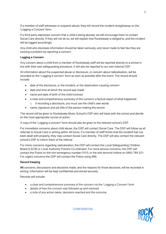If a member of staff witnesses or suspects abuse, they will record the incident straightaway on the 'Logging a Concern' form.

If a third party expresses concern that a child is being abused, we will encourage them to contact Social Care directly. If they will not do so, we will explain that Rocksteady is obliged to, and the incident will be logged accordingly.

Any child who discloses information should be taken seriously, and never made to feel like they are causing a problem by reporting a concern.

#### **Logging a Concern**

Any concern about a child from a member of Rocksteady staff will be reported directly to a school in line with their own safeguarding procedure. It will also be reported to our own internal DSP.

All information about the suspected abuse or disclosure, or concern about radicalisation, will be recorded on the 'Logging a concern' form as soon as possible after the event. The record should include:

- date of the disclosure, or the incident, or the observation causing concern
- date and time at which the record was made
- name and date of birth of the child involved
- a clear and comprehensive summary of the concern/ a factual report of what happened.
	- o If recording a disclosure, you must use the child's own words
- name, signature and job title of the person making the record.

The record will be given to Rocksteady Music School's DSP who will liaise with the school and decide on the most appropriate course of action.

A copy of the 'Logging a concern' form should also be given to the relevant school's DSP.

For immediate concerns about child abuse, the DSP will contact Social Care. The DSP will follow up all referrals to Social Care in writing within 48 hours. If a member of staff thinks that the incident has not been dealt with properly, they may contact Social Care directly. The DSP will also contact the relevant school's DSP to inform them of the referral.

For minor concerns regarding radicalisation, the DSP will contact the Local Safeguarding Children Board (LSCB) or Local Authority Prevent Co-ordinator. For more serious concerns, the DSP will contact the Police on the non-emergency number (101), or the anti-terrorist hotline on 0800 789 321. For urgent concerns the DSP will contact the Police using 999.

#### **Record Keeping**

**All** concerns, discussions and decisions made, and the reasons for those decisions, will be recorded in writing. Information will be kept confidential and stored securely.

Records will include:

- a clear and comprehensive summary of the concern via the 'Logging a Concern' form
- details of how the concern was followed up and resolved
- a note of any action taken, decisions reached and the outcome.

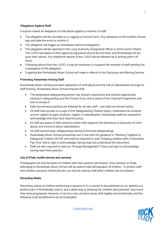# **Allegations Against Staff**

If anyone makes an allegation of child abuse against a member of staff:

- The allegation will be recorded on a Logging a Concern form. Any witnesses to the incident should sign and date the entry to confirm it.
- The allegation will trigger an immediate internal investigation.
- The allegation will be reported to the Local Authority Designated Officer (LADO) and to Ofsted. The LADO will advise if other agencies (eg police) should be informed, and Rocksteady will act upon their advice. Any telephone reports to the LADO will be followed up in writing within 48 hours.
- Following advice from the LADO, it may be necessary to suspend the member of staff pending full investigation of the allegation.
- If appropriate Rocksteady Music School will make a referral to the Disclosure and Barring Service.

#### **Promoting Awareness Among Staff**

Rocksteady Music School promotes awareness of child abuse and the risk of radicalisation through its staff training. Rocksteady Music School ensures that:

- The designated safeguarding person has relevant experience and receives appropriate training in safeguarding and the Prevent Duty, and is aware of the Channel Programme and how to access it
- Safe recruitment practices are followed for all new staff see safe recruitment policy
- All staff have access to a copy of this Safeguarding Children policy, understand its contents and are vigilant to signs of abuse, neglect or radicalisation. Rocksteady staff are required to acknowledge that they have read the policy.
- All staff are aware of their statutory duties with regard to the disclosure or discovery of child abuse, and concerns about radicalisation
- All staff receive basic safeguarding training (Universal safeguarding)
- Rocksteady Music School procedures are in line with the guidance in 'Working Together to Safeguard Children (2018)' and staff are required to read "Keeping children safe in Education Part One" and to sign to acknowledge having read and understood this document
- Staff are also required to read our "Energy Management" Policy and sign to acknowledge having read these policies.

# **Use of iPads, mobile phones and cameras**

Photographs will only be taken of children with their parents' permission. Only cameras or iPads belonging to Rocksteady Music School will be used to take photographs of children. To protect staff and children, personal mobile phones can only be used by staff when children are not present.

# **Recording Media**

Recording videos of children performing in lessons or in a concert to be published on our website is a positive part of Rocksteady culture, and a great way of showing the children (and parents) how much they have progressed. However, it can be a very sensitive issue, both legally and emotionally, and the following must be adhered to by all employees: